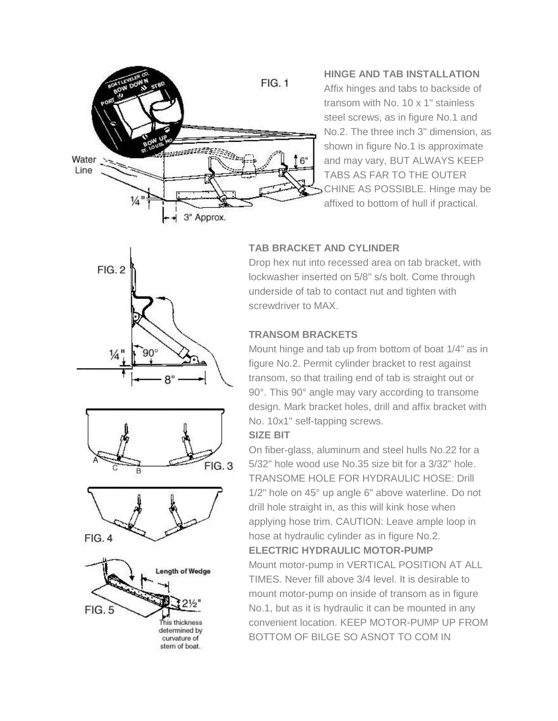

**HINGE AND TAB INSTALLATION** Affix hinges and tabs to backside of transom with No. 10 x 1" stainless steel screws, as in figure No.1 and No.2. The three inch 3" dimension, as shown in figure No.1 is approximate and may vary, BUT ALWAYS KEEP TABS AS FAR TO THE OUTER CHINE AS POSSIBLE. Hinge may be affixed to bottom of hull if practical.

# $FIG. 2$  $\frac{1}{4}$  $90<sup>6</sup>$







# **TAB BRACKET AND CYLINDER**

Drop hex nut into recessed area on tab bracket, with lockwasher inserted on 5/8" s/s bolt. Come through underside of tab to contact nut and tighten with screwdriver to MAX.

# **TRANSOM BRACKETS**

Mount hinge and tab up from bottom of boat 1/4" as in figure No.2. Permit cylinder bracket to rest against transom, so that trailing end of tab is straight out or 90°. This 90° angle may vary according to transome design. Mark bracket holes, drill and affix bracket with No. 10x1" self-tapping screws.

#### **SIZE BIT**

On fiber-glass, aluminum and steel hulls No.22 for a 5/32" hole wood use No.35 size bit for a 3/32" hole. TRANSOME HOLE FOR HYDRAULIC HOSE: Drill 1/2" hole on 45° up angle 6" above waterline. Do not drill hole straight in, as this will kink hose when applying hose trim. CAUTION: Leave ample loop in hose at hydraulic cylinder as in figure No.2. **ELECTRIC HYDRAULIC MOTOR-PUMP** Mount motor-pump in VERTICAL POSITION AT ALL TIMES. Never fill above 3/4 level. It is desirable to mount motor-pump on inside of transom as in figure No.1, but as it is hydraulic it can be mounted in any convenient location. KEEP MOTOR-PUMP UP FROM

BOTTOM OF BILGE SO ASNOT TO COM IN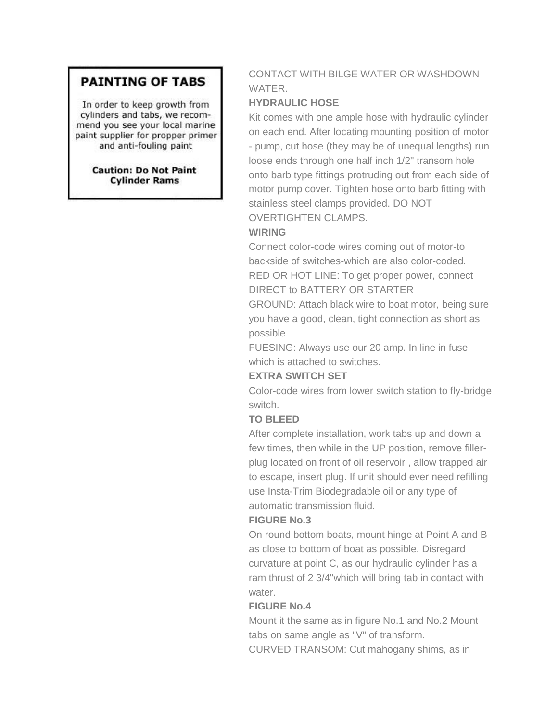# **PAINTING OF TABS**

In order to keep growth from cylinders and tabs, we recommend you see your local marine paint supplier for propper primer and anti-fouling paint

> **Caution: Do Not Paint Cylinder Rams**

# CONTACT WITH BILGE WATER OR WASHDOWN WATER.

# **HYDRAULIC HOSE**

Kit comes with one ample hose with hydraulic cylinder on each end. After locating mounting position of motor - pump, cut hose (they may be of unequal lengths) run loose ends through one half inch 1/2" transom hole onto barb type fittings protruding out from each side of motor pump cover. Tighten hose onto barb fitting with stainless steel clamps provided. DO NOT OVERTIGHTEN CLAMPS.

# **WIRING**

Connect color-code wires coming out of motor-to backside of switches-which are also color-coded. RED OR HOT LINE: To get proper power, connect DIRECT to BATTERY OR STARTER

GROUND: Attach black wire to boat motor, being sure you have a good, clean, tight connection as short as possible

FUESING: Always use our 20 amp. In line in fuse which is attached to switches.

#### **EXTRA SWITCH SET**

Color-code wires from lower switch station to fly-bridge switch.

#### **TO BLEED**

After complete installation, work tabs up and down a few times, then while in the UP position, remove fillerplug located on front of oil reservoir , allow trapped air to escape, insert plug. If unit should ever need refilling use Insta-Trim Biodegradable oil or any type of automatic transmission fluid.

#### **FIGURE No.3**

On round bottom boats, mount hinge at Point A and B as close to bottom of boat as possible. Disregard curvature at point C, as our hydraulic cylinder has a ram thrust of 2 3/4"which will bring tab in contact with water.

#### **FIGURE No.4**

Mount it the same as in figure No.1 and No.2 Mount tabs on same angle as "V" of transform. CURVED TRANSOM: Cut mahogany shims, as in